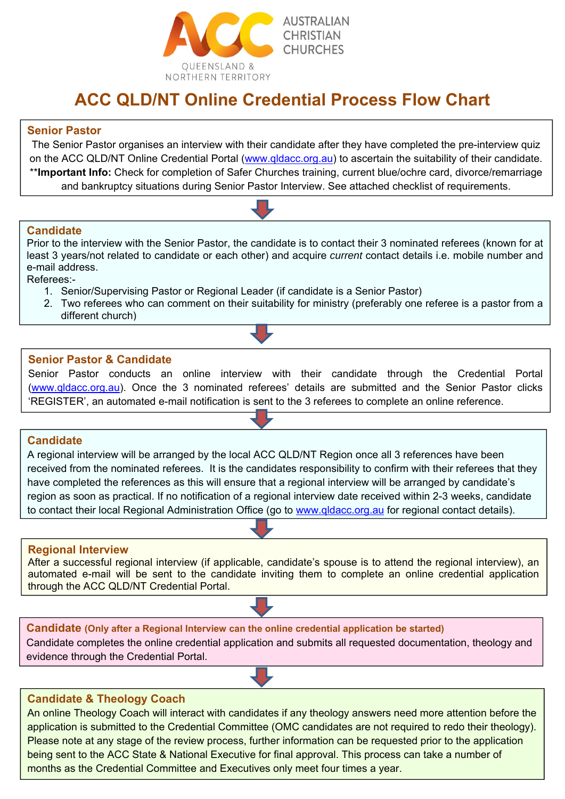

# **ACC QLD/NT Online Credential Process Flow Chart**

## **Senior Pastor**

The Senior Pastor organises an interview with their candidate after they have completed the pre-interview quiz on the ACC QLD/NT Online Credential Portal (www.qldacc.org.au) to ascertain the suitability of their candidate. \*\***Important Info:** Check for completion of Safer Churches training, current blue/ochre card, divorce/remarriage and bankruptcy situations during Senior Pastor Interview. See attached checklist of requirements.

#### **Candidate**

Prior to the interview with the Senior Pastor, the candidate is to contact their 3 nominated referees (known for at least 3 years/not related to candidate or each other) and acquire *current* contact details i.e. mobile number and e-mail address.

Referees:-

- 1. Senior/Supervising Pastor or Regional Leader (if candidate is a Senior Pastor)
- 2. Two referees who can comment on their suitability for ministry (preferably one referee is a pastor from a different church)

## **Senior Pastor & Candidate**

Senior Pastor conducts an online interview with their candidate through the Credential Portal (www.gldacc.org.au). Once the 3 nominated referees' details are submitted and the Senior Pastor clicks 'REGISTER', an automated e-mail notification is sent to the 3 referees to complete an online reference.

## **Candidate**

A regional interview will be arranged by the local ACC QLD/NT Region once all 3 references have been received from the nominated referees. It is the candidates responsibility to confirm with their referees that they have completed the references as this will ensure that a regional interview will be arranged by candidate's region as soon as practical. If no notification of a regional interview date received within 2-3 weeks, candidate to contact their local Regional Administration Office (go to www.qldacc.org.au for regional contact details).

## **Regional Interview**

After a successful regional interview (if applicable, candidate's spouse is to attend the regional interview), an automated e-mail will be sent to the candidate inviting them to complete an online credential application through the ACC QLD/NT Credential Portal.

**Candidate (Only after a Regional Interview can the online credential application be started)**  Candidate completes the online credential application and submits all requested documentation, theology and evidence through the Credential Portal.

## **Candidate & Theology Coach**

I

An online Theology Coach will interact with candidates if any theology answers need more attention before the application is submitted to the Credential Committee (OMC candidates are not required to redo their theology). Please note at any stage of the review process, further information can be requested prior to the application being sent to the ACC State & National Executive for final approval. This process can take a number of months as the Credential Committee and Executives only meet four times a year.